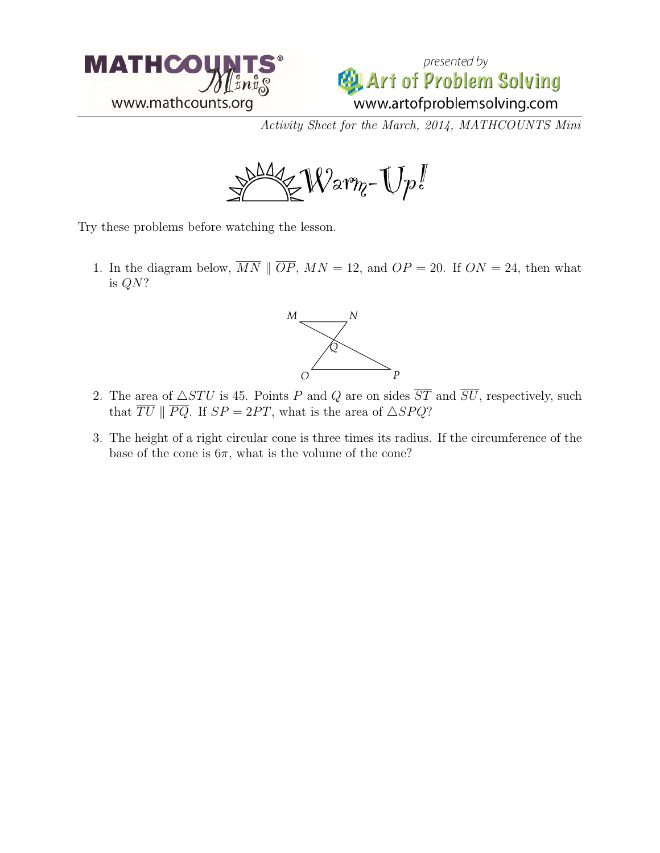



Activity Sheet for the March, 2014, MATHCOUNTS Mini



Try these problems before watching the lesson.

1. In the diagram below,  $\overline{MN} \parallel \overline{OP}$ ,  $MN = 12$ , and  $OP = 20$ . If  $ON = 24$ , then what is QN?



- 2. The area of  $\triangle STU$  is 45. Points P and Q are on sides  $\overline{ST}$  and  $\overline{SU}$ , respectively, such that  $\overline{TU}$  ||  $\overline{PQ}$ . If  $SP = 2PT$ , what is the area of  $\triangle SPQ$ ?
- 3. The height of a right circular cone is three times its radius. If the circumference of the base of the cone is  $6\pi$ , what is the volume of the cone?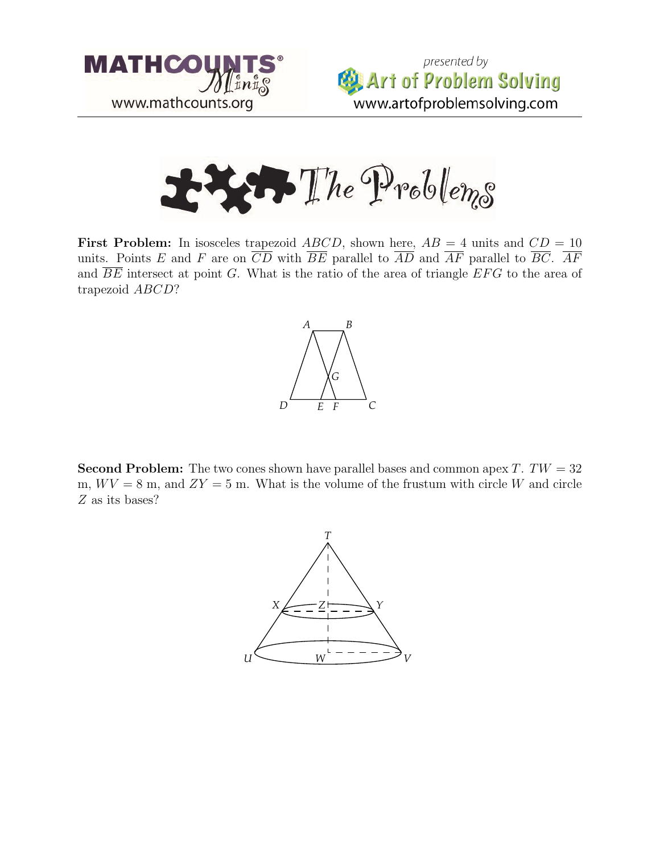





**First Problem:** In isosceles trapezoid ABCD, shown here,  $AB = 4$  units and  $CD = 10$ units. Points E and F are on  $\overline{CD}$  with  $\overline{BE}$  parallel to  $\overline{AD}$  and  $\overline{AF}$  parallel to  $\overline{BC}$ .  $\overline{AF}$ and  $\overline{BE}$  intersect at point G. What is the ratio of the area of triangle  $EFG$  to the area of trapezoid ABCD?



**Second Problem:** The two cones shown have parallel bases and common apex  $T$ .  $TW = 32$ m,  $WV = 8$  m, and  $ZY = 5$  m. What is the volume of the frustum with circle W and circle Z as its bases?